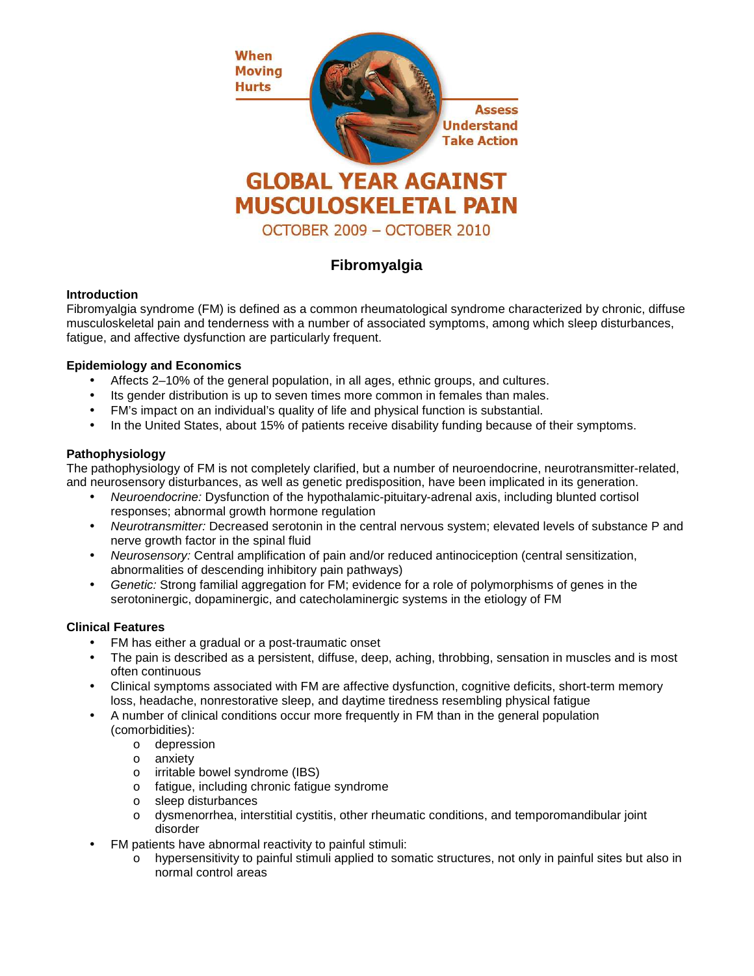

# **Fibromyalgia**

## **Introduction**

Fibromyalgia syndrome (FM) is defined as a common rheumatological syndrome characterized by chronic, diffuse musculoskeletal pain and tenderness with a number of associated symptoms, among which sleep disturbances, fatigue, and affective dysfunction are particularly frequent.

# **Epidemiology and Economics**

- Affects 2–10% of the general population, in all ages, ethnic groups, and cultures.
- Its gender distribution is up to seven times more common in females than males.
- FM's impact on an individual's quality of life and physical function is substantial.
- In the United States, about 15% of patients receive disability funding because of their symptoms.

# **Pathophysiology**

The pathophysiology of FM is not completely clarified, but a number of neuroendocrine, neurotransmitter-related, and neurosensory disturbances, as well as genetic predisposition, have been implicated in its generation.

- Neuroendocrine: Dysfunction of the hypothalamic-pituitary-adrenal axis, including blunted cortisol responses; abnormal growth hormone regulation
- Neurotransmitter: Decreased serotonin in the central nervous system; elevated levels of substance P and nerve growth factor in the spinal fluid
- Neurosensory: Central amplification of pain and/or reduced antinociception (central sensitization, abnormalities of descending inhibitory pain pathways)
- Genetic: Strong familial aggregation for FM; evidence for a role of polymorphisms of genes in the serotoninergic, dopaminergic, and catecholaminergic systems in the etiology of FM

## **Clinical Features**

- FM has either a gradual or a post-traumatic onset
- The pain is described as a persistent, diffuse, deep, aching, throbbing, sensation in muscles and is most often continuous
- Clinical symptoms associated with FM are affective dysfunction, cognitive deficits, short-term memory loss, headache, nonrestorative sleep, and daytime tiredness resembling physical fatigue
- A number of clinical conditions occur more frequently in FM than in the general population (comorbidities):
	- o depression
	- o anxiety
	- o irritable bowel syndrome (IBS)
	- o fatigue, including chronic fatigue syndrome
	- o sleep disturbances
	- o dysmenorrhea, interstitial cystitis, other rheumatic conditions, and temporomandibular joint disorder
- FM patients have abnormal reactivity to painful stimuli:
	- o hypersensitivity to painful stimuli applied to somatic structures, not only in painful sites but also in normal control areas